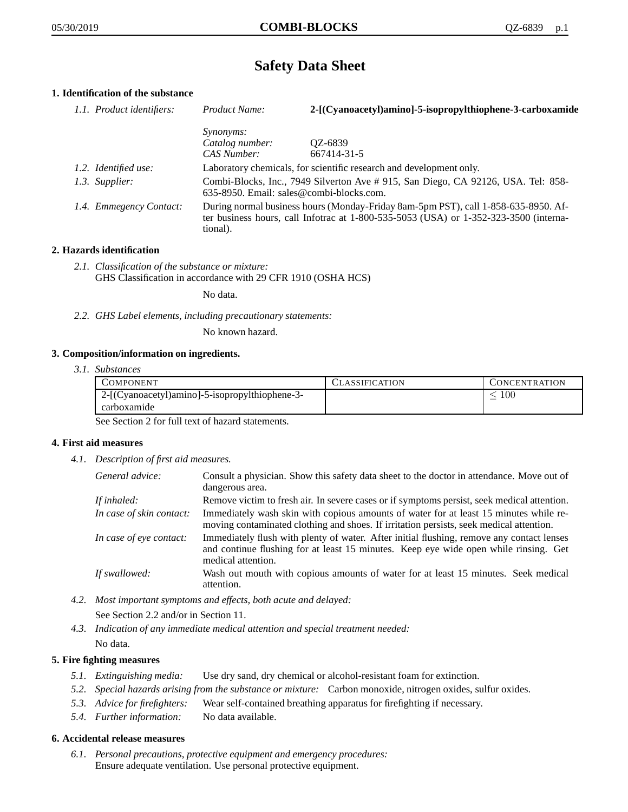# **Safety Data Sheet**

# **1. Identification of the substance**

| 1.1. Product identifiers: | Product Name:                                                                                                                                                                           | 2-[(Cyanoacetyl)amino]-5-isopropylthiophene-3-carboxamide           |
|---------------------------|-----------------------------------------------------------------------------------------------------------------------------------------------------------------------------------------|---------------------------------------------------------------------|
|                           | <i>Synonyms:</i>                                                                                                                                                                        |                                                                     |
|                           | Catalog number:                                                                                                                                                                         | QZ-6839                                                             |
|                           | CAS Number:                                                                                                                                                                             | 667414-31-5                                                         |
| 1.2. Identified use:      |                                                                                                                                                                                         | Laboratory chemicals, for scientific research and development only. |
| 1.3. Supplier:            | Combi-Blocks, Inc., 7949 Silverton Ave # 915, San Diego, CA 92126, USA. Tel: 858-<br>635-8950. Email: sales@combi-blocks.com.                                                           |                                                                     |
| 1.4. Emmegency Contact:   | During normal business hours (Monday-Friday 8am-5pm PST), call 1-858-635-8950. Af-<br>ter business hours, call Infotrac at 1-800-535-5053 (USA) or 1-352-323-3500 (interna-<br>tional). |                                                                     |

## **2. Hazards identification**

*2.1. Classification of the substance or mixture:* GHS Classification in accordance with 29 CFR 1910 (OSHA HCS)

No data.

*2.2. GHS Label elements, including precautionary statements:*

No known hazard.

## **3. Composition/information on ingredients.**

*3.1. Substances*

| COMPONENT                                      | <b>ASSIFICATION</b> | CONCENTRATION |
|------------------------------------------------|---------------------|---------------|
| 2-[(Cyanoacetyl)amino]-5-isopropylthiophene-3- |                     | 100           |
| carboxamide                                    |                     |               |

See Section 2 for full text of hazard statements.

## **4. First aid measures**

*4.1. Description of first aid measures.*

| General advice:          | Consult a physician. Show this safety data sheet to the doctor in attendance. Move out of<br>dangerous area.                                                                                            |
|--------------------------|---------------------------------------------------------------------------------------------------------------------------------------------------------------------------------------------------------|
| If inhaled:              | Remove victim to fresh air. In severe cases or if symptoms persist, seek medical attention.                                                                                                             |
| In case of skin contact: | Immediately wash skin with copious amounts of water for at least 15 minutes while re-<br>moving contaminated clothing and shoes. If irritation persists, seek medical attention.                        |
| In case of eye contact:  | Immediately flush with plenty of water. After initial flushing, remove any contact lenses<br>and continue flushing for at least 15 minutes. Keep eye wide open while rinsing. Get<br>medical attention. |
| If swallowed:            | Wash out mouth with copious amounts of water for at least 15 minutes. Seek medical<br>attention.                                                                                                        |

- *4.2. Most important symptoms and effects, both acute and delayed:* See Section 2.2 and/or in Section 11.
- *4.3. Indication of any immediate medical attention and special treatment needed:* No data.

## **5. Fire fighting measures**

- *5.1. Extinguishing media:* Use dry sand, dry chemical or alcohol-resistant foam for extinction.
- *5.2. Special hazards arising from the substance or mixture:* Carbon monoxide, nitrogen oxides, sulfur oxides.
- *5.3. Advice for firefighters:* Wear self-contained breathing apparatus for firefighting if necessary.
- *5.4. Further information:* No data available.

## **6. Accidental release measures**

*6.1. Personal precautions, protective equipment and emergency procedures:* Ensure adequate ventilation. Use personal protective equipment.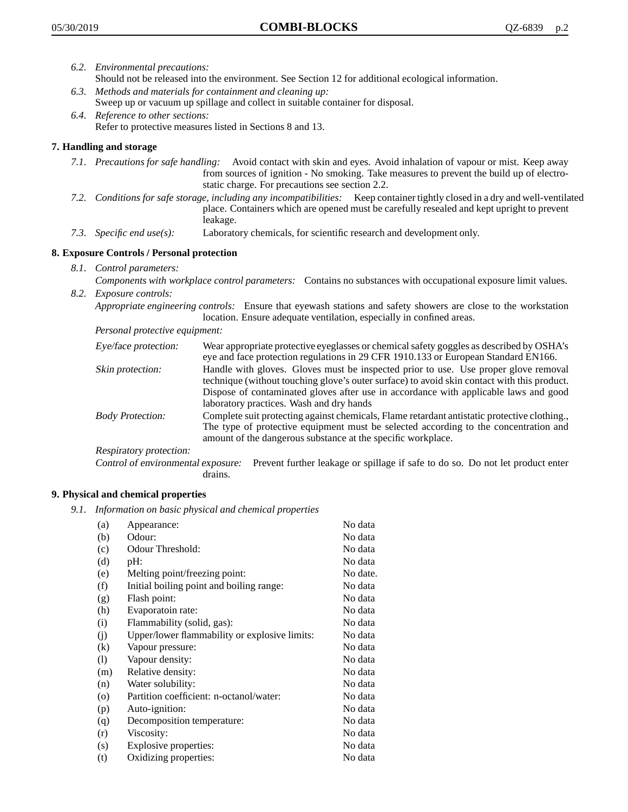- *6.2. Environmental precautions:* Should not be released into the environment. See Section 12 for additional ecological information.
- *6.3. Methods and materials for containment and cleaning up:* Sweep up or vacuum up spillage and collect in suitable container for disposal.
- *6.4. Reference to other sections:* Refer to protective measures listed in Sections 8 and 13.

## **7. Handling and storage**

- *7.1. Precautions for safe handling:* Avoid contact with skin and eyes. Avoid inhalation of vapour or mist. Keep away from sources of ignition - No smoking. Take measures to prevent the build up of electrostatic charge. For precautions see section 2.2.
- *7.2. Conditions for safe storage, including any incompatibilities:* Keep container tightly closed in a dry and well-ventilated place. Containers which are opened must be carefully resealed and kept upright to prevent leakage.
- *7.3. Specific end use(s):* Laboratory chemicals, for scientific research and development only.

## **8. Exposure Controls / Personal protection**

- *8.1. Control parameters:*
- *Components with workplace control parameters:* Contains no substances with occupational exposure limit values. *8.2. Exposure controls:*

*Appropriate engineering controls:* Ensure that eyewash stations and safety showers are close to the workstation location. Ensure adequate ventilation, especially in confined areas.

*Personal protective equipment:*

| Eye/face protection:    | Wear appropriate protective eyeglasses or chemical safety goggles as described by OSHA's<br>eye and face protection regulations in 29 CFR 1910.133 or European Standard EN166.                                                                                                                                         |
|-------------------------|------------------------------------------------------------------------------------------------------------------------------------------------------------------------------------------------------------------------------------------------------------------------------------------------------------------------|
| Skin protection:        | Handle with gloves. Gloves must be inspected prior to use. Use proper glove removal<br>technique (without touching glove's outer surface) to avoid skin contact with this product.<br>Dispose of contaminated gloves after use in accordance with applicable laws and good<br>laboratory practices. Wash and dry hands |
| <b>Body Protection:</b> | Complete suit protecting against chemicals, Flame retardant antistatic protective clothing.,<br>The type of protective equipment must be selected according to the concentration and<br>amount of the dangerous substance at the specific workplace.                                                                   |
| Respiratory protection: |                                                                                                                                                                                                                                                                                                                        |

Control of environmental exposure: Prevent further leakage or spillage if safe to do so. Do not let product enter drains.

## **9. Physical and chemical properties**

*9.1. Information on basic physical and chemical properties*

| (a)                        | Appearance:                                   | No data  |
|----------------------------|-----------------------------------------------|----------|
| (b)                        | Odour:                                        | No data  |
| (c)                        | Odour Threshold:                              | No data  |
| (d)                        | pH:                                           | No data  |
| (e)                        | Melting point/freezing point:                 | No date. |
| (f)                        | Initial boiling point and boiling range:      | No data  |
| (g)                        | Flash point:                                  | No data  |
| (h)                        | Evaporatoin rate:                             | No data  |
| (i)                        | Flammability (solid, gas):                    | No data  |
| (j)                        | Upper/lower flammability or explosive limits: | No data  |
| (k)                        | Vapour pressure:                              | No data  |
| $\left( \mathrm{l}\right)$ | Vapour density:                               | No data  |
| (m)                        | Relative density:                             | No data  |
| (n)                        | Water solubility:                             | No data  |
| $\circ$                    | Partition coefficient: n-octanol/water:       | No data  |
| (p)                        | Auto-ignition:                                | No data  |
| (q)                        | Decomposition temperature:                    | No data  |
| (r)                        | Viscosity:                                    | No data  |
| (s)                        | Explosive properties:                         | No data  |
| (t)                        | Oxidizing properties:                         | No data  |